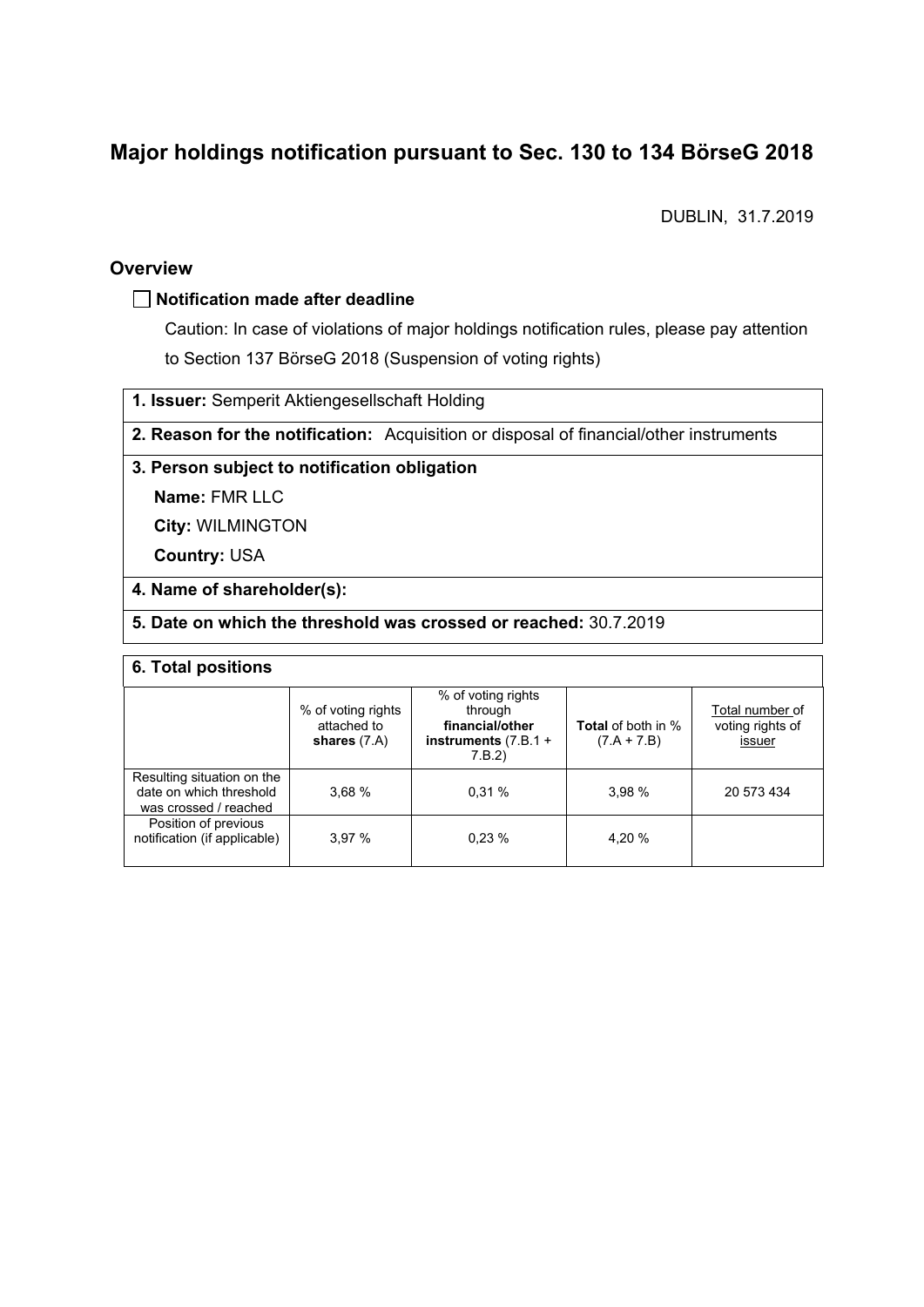# **Major holdings notification pursuant to Sec. 130 to 134 BörseG 2018**

DUBLIN, 31.7.2019

### **Overview**

### **Notification made after deadline**

Caution: In case of violations of major holdings notification rules, please pay attention to Section 137 BörseG 2018 (Suspension of voting rights)

**1. Issuer:** Semperit Aktiengesellschaft Holding

**2. Reason for the notification:** Acquisition or disposal of financial/other instruments

### **3. Person subject to notification obligation**

**Name:** FMR LLC

**City:** WILMINGTON

**Country:** USA

### **4. Name of shareholder(s):**

### **5. Date on which the threshold was crossed or reached:** 30.7.2019

#### **6. Total positions**

|                                                                                | % of voting rights<br>attached to<br>shares $(7.A)$ | % of voting rights<br>through<br>financial/other<br>instruments $(7.B.1 +$<br>7.B.2) | <b>Total</b> of both in %<br>$(7.A + 7.B)$ | Total number of<br>voting rights of<br>issuer |  |  |
|--------------------------------------------------------------------------------|-----------------------------------------------------|--------------------------------------------------------------------------------------|--------------------------------------------|-----------------------------------------------|--|--|
| Resulting situation on the<br>date on which threshold<br>was crossed / reached | 3.68%                                               | 0.31%                                                                                | 3.98 %                                     | 20 573 434                                    |  |  |
| Position of previous<br>notification (if applicable)                           | 3.97%                                               | 0.23%                                                                                | 4.20 %                                     |                                               |  |  |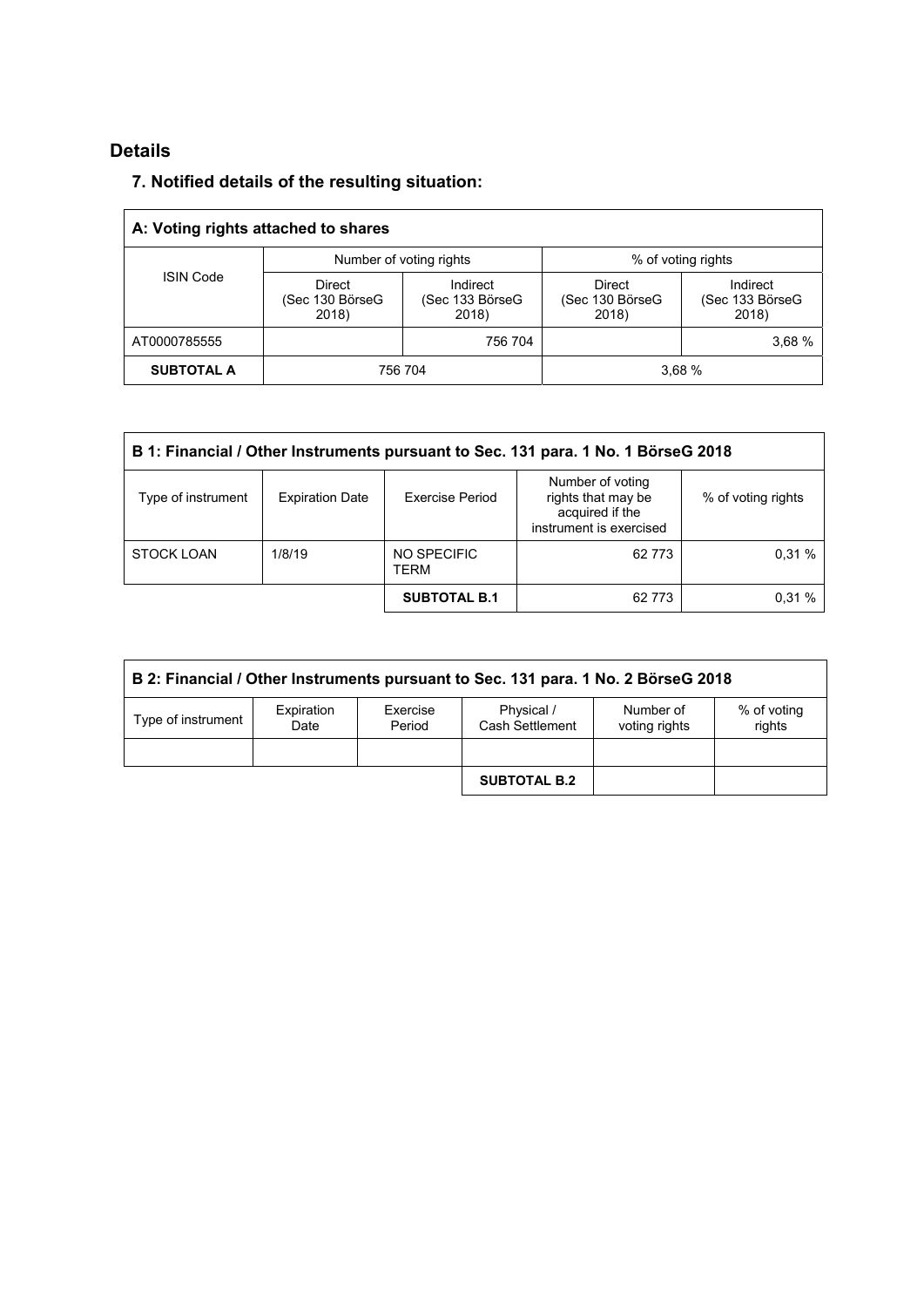## **Details**

## **7. Notified details of the resulting situation:**

| A: Voting rights attached to shares |                                    |                                      |                                           |                                      |  |  |
|-------------------------------------|------------------------------------|--------------------------------------|-------------------------------------------|--------------------------------------|--|--|
| <b>ISIN Code</b>                    |                                    | Number of voting rights              | % of voting rights                        |                                      |  |  |
|                                     | Direct<br>(Sec 130 BörseG<br>2018) | Indirect<br>(Sec 133 BörseG<br>2018) | <b>Direct</b><br>(Sec 130 BörseG<br>2018) | Indirect<br>(Sec 133 BörseG<br>2018) |  |  |
| AT0000785555                        |                                    | 756 704                              |                                           | 3,68 %                               |  |  |
| <b>SUBTOTAL A</b>                   | 756 704                            |                                      | 3.68%                                     |                                      |  |  |

| B 1: Financial / Other Instruments pursuant to Sec. 131 para. 1 No. 1 BörseG 2018 |                        |                        |                                                                                      |                    |  |
|-----------------------------------------------------------------------------------|------------------------|------------------------|--------------------------------------------------------------------------------------|--------------------|--|
| Type of instrument                                                                | <b>Expiration Date</b> | <b>Exercise Period</b> | Number of voting<br>rights that may be<br>acquired if the<br>instrument is exercised | % of voting rights |  |
| <b>STOCK LOAN</b>                                                                 | 1/8/19                 | NO SPECIFIC<br>TERM    | 62 7 73                                                                              | 0.31%              |  |
|                                                                                   |                        | <b>SUBTOTAL B.1</b>    | 62 7 73                                                                              | 0.31%              |  |

| B 2: Financial / Other Instruments pursuant to Sec. 131 para. 1 No. 2 BörseG 2018 |                    |                    |                               |                            |                       |
|-----------------------------------------------------------------------------------|--------------------|--------------------|-------------------------------|----------------------------|-----------------------|
| Type of instrument                                                                | Expiration<br>Date | Exercise<br>Period | Physical /<br>Cash Settlement | Number of<br>voting rights | % of voting<br>rights |
|                                                                                   |                    |                    |                               |                            |                       |
|                                                                                   |                    |                    | <b>SUBTOTAL B.2</b>           |                            |                       |